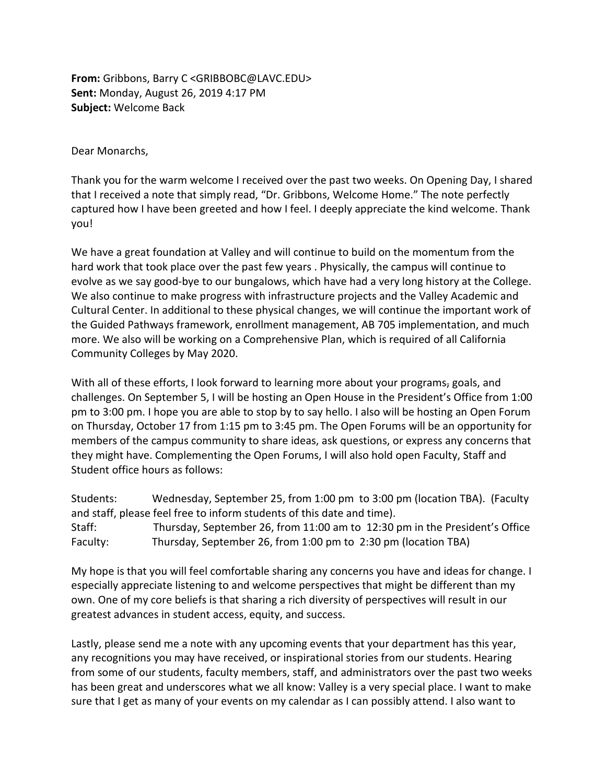**From:** Gribbons, Barry C <GRIBBOBC@LAVC.EDU> **Sent:** Monday, August 26, 2019 4:17 PM **Subject:** Welcome Back

Dear Monarchs,

Thank you for the warm welcome I received over the past two weeks. On Opening Day, I shared that I received a note that simply read, "Dr. Gribbons, Welcome Home." The note perfectly captured how I have been greeted and how I feel. I deeply appreciate the kind welcome. Thank you!

We have a great foundation at Valley and will continue to build on the momentum from the hard work that took place over the past few years . Physically, the campus will continue to evolve as we say good-bye to our bungalows, which have had a very long history at the College. We also continue to make progress with infrastructure projects and the Valley Academic and Cultural Center. In additional to these physical changes, we will continue the important work of the Guided Pathways framework, enrollment management, AB 705 implementation, and much more. We also will be working on a Comprehensive Plan, which is required of all California Community Colleges by May 2020.

With all of these efforts, I look forward to learning more about your programs, goals, and challenges. On September 5, I will be hosting an Open House in the President's Office from 1:00 pm to 3:00 pm. I hope you are able to stop by to say hello. I also will be hosting an Open Forum on Thursday, October 17 from 1:15 pm to 3:45 pm. The Open Forums will be an opportunity for members of the campus community to share ideas, ask questions, or express any concerns that they might have. Complementing the Open Forums, I will also hold open Faculty, Staff and Student office hours as follows:

Students: Wednesday, September 25, from 1:00 pm to 3:00 pm (location TBA). (Faculty and staff, please feel free to inform students of this date and time). Staff: Thursday, September 26, from 11:00 am to 12:30 pm in the President's Office Faculty: Thursday, September 26, from 1:00 pm to 2:30 pm (location TBA)

My hope is that you will feel comfortable sharing any concerns you have and ideas for change. I especially appreciate listening to and welcome perspectives that might be different than my own. One of my core beliefs is that sharing a rich diversity of perspectives will result in our greatest advances in student access, equity, and success.

Lastly, please send me a note with any upcoming events that your department has this year, any recognitions you may have received, or inspirational stories from our students. Hearing from some of our students, faculty members, staff, and administrators over the past two weeks has been great and underscores what we all know: Valley is a very special place. I want to make sure that I get as many of your events on my calendar as I can possibly attend. I also want to